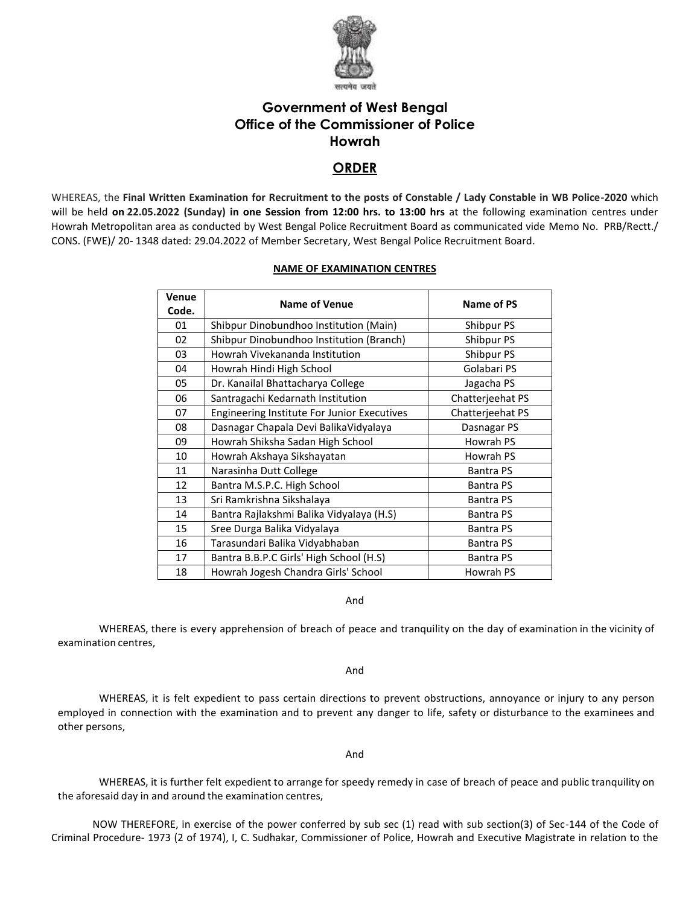

# **Government of West Bengal Office of the Commissioner of Police Howrah**

## **ORDER**

WHEREAS, the **Final Written Examination for Recruitment to the posts of Constable / Lady Constable in WB Police-2020** which will be held **on 22.05.2022 (Sunday) in one Session from 12:00 hrs. to 13:00 hrs** at the following examination centres under Howrah Metropolitan area as conducted by West Bengal Police Recruitment Board as communicated vide Memo No. PRB/Rectt./ CONS. (FWE)/ 20- 1348 dated: 29.04.2022 of Member Secretary, West Bengal Police Recruitment Board.

### **NAME OF EXAMINATION CENTRES**

| Venue<br>Code. | <b>Name of Venue</b>                        | Name of PS       |
|----------------|---------------------------------------------|------------------|
| 01             | Shibpur Dinobundhoo Institution (Main)      | Shibpur PS       |
| 02             | Shibpur Dinobundhoo Institution (Branch)    | Shibpur PS       |
| 03             | Howrah Vivekananda Institution              | Shibpur PS       |
| 04             | Howrah Hindi High School                    | Golabari PS      |
| 05             | Dr. Kanailal Bhattacharya College           | Jagacha PS       |
| 06             | Santragachi Kedarnath Institution           | Chatterjeehat PS |
| 07             | Engineering Institute For Junior Executives | Chatterjeehat PS |
| 08             | Dasnagar Chapala Devi BalikaVidyalaya       | Dasnagar PS      |
| 09             | Howrah Shiksha Sadan High School            | Howrah PS        |
| 10             | Howrah Akshaya Sikshayatan                  | Howrah PS        |
| 11             | Narasinha Dutt College                      | <b>Bantra PS</b> |
| 12             | Bantra M.S.P.C. High School                 | <b>Bantra PS</b> |
| 13             | Sri Ramkrishna Sikshalaya                   | <b>Bantra PS</b> |
| 14             | Bantra Rajlakshmi Balika Vidyalaya (H.S)    | <b>Bantra PS</b> |
| 15             | Sree Durga Balika Vidyalaya                 | <b>Bantra PS</b> |
| 16             | Tarasundari Balika Vidyabhaban              | <b>Bantra PS</b> |
| 17             | Bantra B.B.P.C Girls' High School (H.S)     | <b>Bantra PS</b> |
| 18             | Howrah Jogesh Chandra Girls' School         | Howrah PS        |

And

WHEREAS, there is every apprehension of breach of peace and tranquility on the day of examination in the vicinity of examination centres,

And

WHEREAS, it is felt expedient to pass certain directions to prevent obstructions, annoyance or injury to any person employed in connection with the examination and to prevent any danger to life, safety or disturbance to the examinees and other persons,

And

WHEREAS, it is further felt expedient to arrange for speedy remedy in case of breach of peace and public tranquility on the aforesaid day in and around the examination centres,

NOW THEREFORE, in exercise of the power conferred by sub sec (1) read with sub section(3) of Sec-144 of the Code of Criminal Procedure- 1973 (2 of 1974), I, C. Sudhakar, Commissioner of Police, Howrah and Executive Magistrate in relation to the